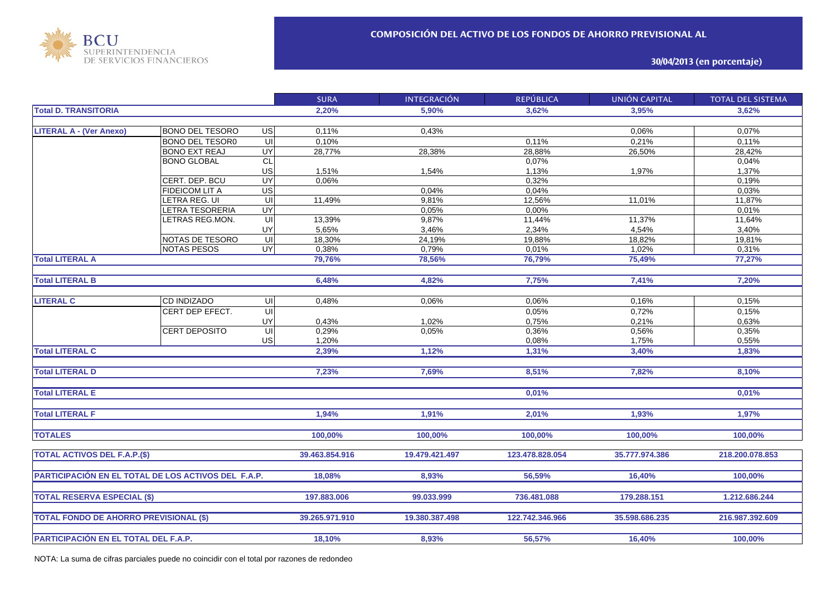

## **30/04/2013 (en porcentaje)**

|                                                     |                        |                         | <b>SURA</b>    | <b>INTEGRACIÓN</b> | <b>REPÚBLICA</b> | <b>UNIÓN CAPITAL</b> | <b>TOTAL DEL SISTEMA</b> |
|-----------------------------------------------------|------------------------|-------------------------|----------------|--------------------|------------------|----------------------|--------------------------|
| <b>Total D. TRANSITORIA</b>                         |                        |                         | 2.20%          | 5.90%              | 3.62%            | 3.95%                | 3.62%                    |
|                                                     |                        |                         |                |                    |                  |                      |                          |
| <b>LITERAL A - (Ver Anexo)</b>                      | <b>BONO DEL TESORO</b> | <b>US</b>               | 0.11%          | 0,43%              |                  | 0,06%                | 0,07%                    |
|                                                     | <b>BONO DEL TESOR0</b> | ਗ                       | 0.10%          |                    | 0,11%            | 0,21%                | 0,11%                    |
|                                                     | <b>BONO EXT REAJ</b>   | UY                      | 28,77%         | 28,38%             | 28,88%           | 26,50%               | 28,42%                   |
|                                                     | <b>BONO GLOBAL</b>     | CL                      |                |                    | 0,07%            |                      | 0,04%                    |
|                                                     |                        | US                      | 1,51%          | 1,54%              | 1,13%            | 1,97%                | 1,37%                    |
|                                                     | CERT. DEP. BCU         | UY                      | 0,06%          |                    | 0,32%            |                      | 0,19%                    |
|                                                     | FIDEICOM LIT A         | US                      |                | 0,04%              | 0,04%            |                      | 0,03%                    |
|                                                     | LETRA REG. UI          | $\overline{u}$          | 11,49%         | 9,81%              | 12,56%           | 11,01%               | 11,87%                   |
|                                                     | <b>ETRA TESORERIA</b>  | UY                      |                | 0,05%              | 0,00%            |                      | 0,01%                    |
|                                                     | ETRAS REG.MON.         | $\overline{\mathsf{u}}$ | 13,39%         | 9,87%              | 11,44%           | 11,37%               | 11,64%                   |
|                                                     |                        | UY                      | 5,65%          | 3,46%              | 2,34%            | 4,54%                | 3,40%                    |
|                                                     | NOTAS DE TESORO        | UI                      | 18,30%         | 24,19%             | 19,88%           | 18,82%               | 19,81%                   |
|                                                     | <b>NOTAS PESOS</b>     | UY <sup></sup>          | 0,38%          | 0,79%              | 0,01%            | 1,02%                | 0,31%                    |
| <b>Total LITERAL A</b>                              |                        |                         | 79,76%         | 78,56%             | 76,79%           | 75,49%               | 77,27%                   |
|                                                     |                        |                         |                |                    |                  |                      |                          |
| <b>Total LITERAL B</b>                              |                        |                         | 6,48%          | 4,82%              | 7,75%            | 7,41%                | 7,20%                    |
|                                                     |                        |                         |                |                    |                  |                      |                          |
| <b>LITERAL C</b>                                    | <b>CD INDIZADO</b>     | UI                      | 0,48%          | 0,06%              | 0.06%            | 0,16%                | 0,15%                    |
|                                                     | CERT DEP EFECT.        | $\overline{\mathsf{u}}$ |                |                    | 0,05%            | 0,72%                | 0,15%                    |
|                                                     |                        | UY                      | 0,43%          | 1,02%              | 0,75%            | 0,21%                | 0,63%                    |
|                                                     | CERT DEPOSITO          | $\overline{\mathsf{u}}$ | 0,29%          | 0,05%              | 0,36%            | 0,56%                | 0,35%                    |
|                                                     |                        | <b>US</b>               | 1,20%          |                    | 0,08%            | 1,75%                | 0,55%                    |
| <b>Total LITERAL C</b>                              |                        |                         | 2,39%          | 1,12%              | 1,31%            | 3,40%                | 1,83%                    |
|                                                     |                        |                         |                |                    |                  |                      |                          |
| <b>Total LITERAL D</b>                              |                        |                         | 7,23%          | 7,69%              | 8,51%            | 7,82%                | 8,10%                    |
|                                                     |                        |                         |                |                    |                  |                      |                          |
| <b>Total LITERAL E</b>                              |                        |                         |                |                    | 0,01%            |                      | 0.01%                    |
|                                                     |                        |                         |                |                    |                  |                      |                          |
| <b>Total LITERAL F</b>                              |                        |                         | 1,94%          | 1,91%              | 2,01%            | 1,93%                | 1,97%                    |
|                                                     |                        |                         |                |                    |                  |                      |                          |
| <b>TOTALES</b>                                      |                        |                         | 100,00%        | 100,00%            | 100,00%          | 100,00%              | 100,00%                  |
|                                                     |                        |                         |                |                    |                  |                      |                          |
| <b>TOTAL ACTIVOS DEL F.A.P.(\$)</b>                 |                        |                         | 39.463.854.916 | 19.479.421.497     | 123.478.828.054  | 35.777.974.386       | 218.200.078.853          |
|                                                     |                        |                         |                |                    |                  |                      |                          |
| PARTICIPACIÓN EN EL TOTAL DE LOS ACTIVOS DEL F.A.P. |                        |                         | 18,08%         | 8,93%              | 56,59%           | 16,40%               | 100,00%                  |
|                                                     |                        |                         |                |                    |                  |                      |                          |
|                                                     |                        |                         |                |                    |                  |                      |                          |
| <b>TOTAL RESERVA ESPECIAL (\$)</b>                  |                        |                         | 197.883.006    | 99.033.999         | 736.481.088      | 179.288.151          | 1.212.686.244            |
|                                                     |                        |                         |                |                    |                  |                      |                          |
| <b>TOTAL FONDO DE AHORRO PREVISIONAL (\$)</b>       |                        |                         | 39.265.971.910 | 19.380.387.498     | 122.742.346.966  | 35.598.686.235       | 216.987.392.609          |
|                                                     |                        |                         |                |                    |                  |                      |                          |
| PARTICIPACIÓN EN EL TOTAL DEL F.A.P.                |                        |                         | 18,10%         | 8,93%              | 56,57%           | 16,40%               | 100,00%                  |

NOTA: La suma de cifras parciales puede no coincidir con el total por razones de redondeo